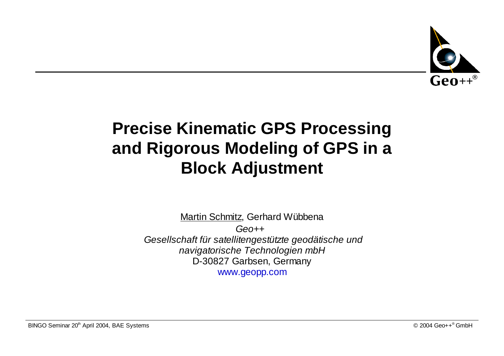

### **Precise Kinematic GPS Processing and Rigorous Modeling of GPS in <sup>a</sup> Block Adjustment**

<u>Martin Schmitz</u>, Gerhard Wübbena  $Ge^{0++^{\circ}}$ Gesellschaft für satellitengestützte geodätische und navigatorische Technologien mbH D-30827 Garbsen, Germany www.geopp.com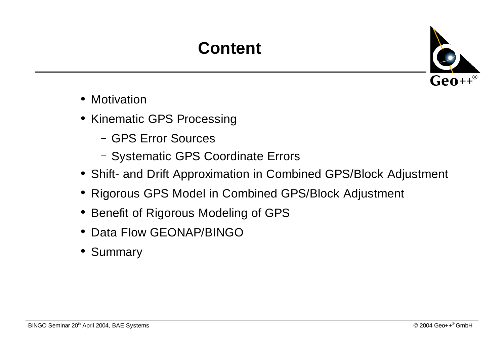## **Content**



- Motivation
- Kinematic GPS Processing
	- GPS Error Sources
	- Systematic GPS Coordinate Errors
- Shift- and Drift Approximation in Combined GPS/Block Adjustment
- Rigorous GPS Model in Combined GPS/Block Adjustment
- Benefit of Rigorous Modeling of GPS
- Data Flow GEONAP/BINGO
- Summary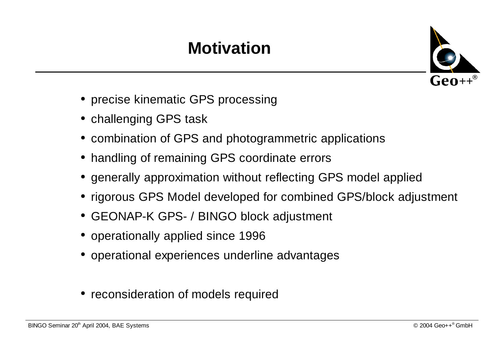# **Motivation**



- precise kinematic GPS processing
- $\bullet\,$  challenging GPS task
- combination of GPS and photogrammetric applications
- handling of remaining GPS coordinate errors
- $\bullet\,$  generally approximation without reflecting GPS model applied
- rigorous GPS Model developed for combined GPS/block adjustment
- GEONAP-K GPS- / BINGO block adjustment
- operationally applied since 1996
- $\bullet\,$  operational experiences underline advantages
- reconsideration of models required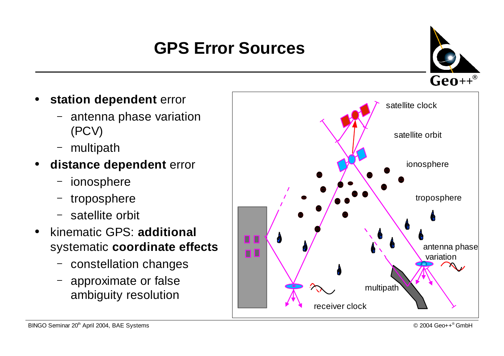# **GPS Error Sources**



- $\bullet$  **station dependent** error
	- $\overline{\phantom{a}}$  antenna phase variation (PCV)
	- multipath
- $\bullet$  **distance dependent** error
	- ionosphere
	- troposphere
	- satellite orbit
- $\bullet$ **•** kinematic GPS: **additional** systematic **coordinate effects**
	- constellation changes
	- approximate or false ambiguity resolution

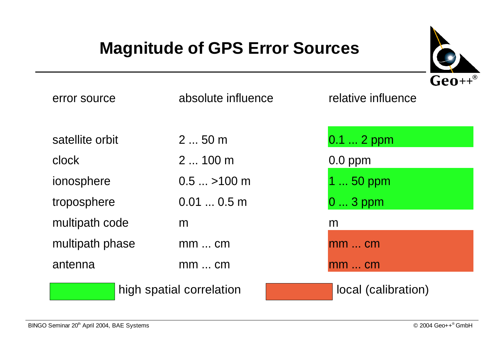### **Magnitude of GPS Error Sources**



| error source             | absolute influence    | relative influence  |
|--------------------------|-----------------------|---------------------|
| satellite orbit          | 2  50 m               | $0.1 2$ ppm         |
| clock                    | $2100$ m              | $0.0$ ppm           |
| ionosphere               | $0.5$ $\ldots$ >100 m | 1  50 ppm           |
| troposphere              | 0.010.5m              | $03$ ppm            |
| multipath code           | m                     | m                   |
| multipath phase          | $mm$ cm               | $mm$ cm             |
| antenna                  | $mm$ cm               | $mm$ cm             |
| high spatial correlation |                       | local (calibration) |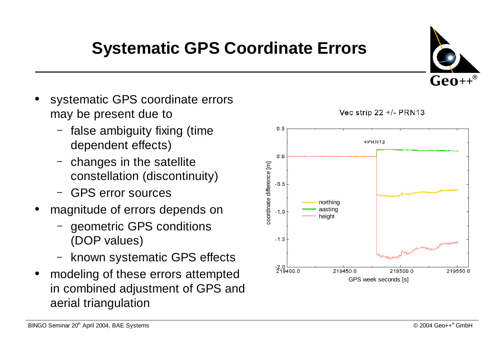### **Systematic GPS Coordinate Errors**

- $\bullet$  systematic GPS coordinate errors may be present due to
	- false ambiguity fixing (time dependent effects)
	- changes in the satellite constellation (discontinuity)
	- GPS error sources
- 0 magnitude of errors depends on
	- geometric GPS conditions (DOP values)
	- known systematic GPS effects
- 0 modeling of these errors attempted in combined adjustment of GPS and aerial triangulation



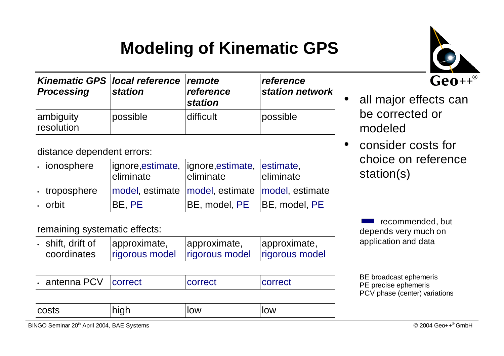### **Modeling of Kinematic GPS**



| <b>Processing</b>       | Kinematic GPS local reference remote | reference      | reference       |
|-------------------------|--------------------------------------|----------------|-----------------|
|                         | <b>station</b>                       | <b>station</b> | station network |
| ambiguity<br>resolution | possible                             | difficult      | possible        |

distance dependent errors:

| · ionosphere | eliminate | ignore, estimate,   ignore, estimate,   estimate,<br>leliminate | leliminate |
|--------------|-----------|-----------------------------------------------------------------|------------|
| troposphere  |           | model, estimate model, estimate model, estimate                 |            |
| . orbit      | BE, PE    | BE, model, PE   BE, model, PE                                   |            |

remaining systematic effects:

| costs                                  | high                           | low                            | low                            |
|----------------------------------------|--------------------------------|--------------------------------|--------------------------------|
| $\cdot$ antenna PCV                    | correct                        | correct                        | correct                        |
|                                        |                                |                                |                                |
| $\cdot$ shift, drift of<br>coordinates | approximate,<br>rigorous model | approximate,<br>rigorous model | approximate,<br>rigorous model |



 $\bullet$  consider costs for choice on reference station(s)

> recommended, but depends very much on application and data

BE broadcast ephemeris PE precise ephemeris PCV phase (center) variations

BINGO Seminar <sup>20</sup>th April 2004, BAE Systems © <sup>2004</sup> Geo++® GmbH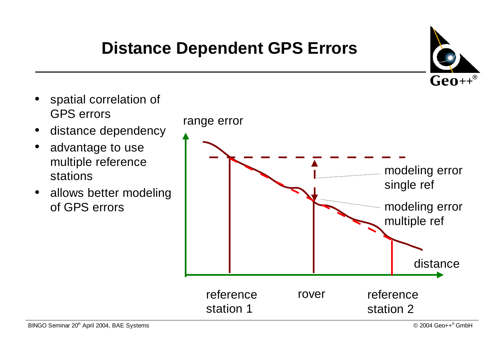## **Distance Dependent GPS Errors**





 $\bullet$ 

 $\bullet$ 

 $\bullet$ 

 $\bullet$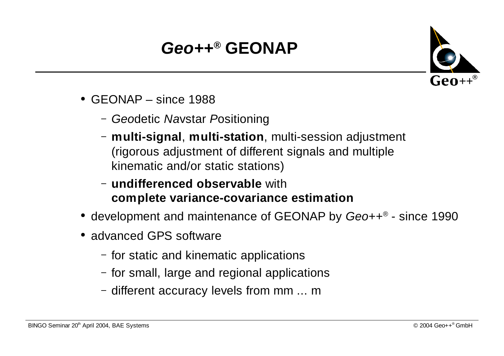# **Geo++® GEONAP**



- GEONAP since 1988
	- Geodetic Navstar Positioning
	- **multi-signal**, **multi-station**, multi-session adjustment (rigorous adjustment of different signals and multiple kinematic and/or static stations)
	- **undifferenced observable** with **complete variance-covariance estimation**
- $\bullet\,$  development and maintenance of GEONAP by Geo++ $^\circ$  since 1990
- advanced GPS software
	- for static and kinematic applications
	- for small, large and regional applications
	- different accuracy levels from mm ... <sup>m</sup>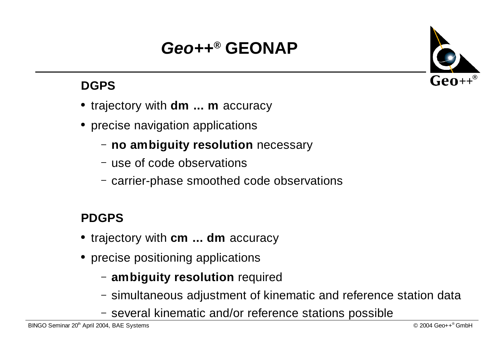# **Geo++® GEONAP**

#### **DGPS**

- trajectory with **dm ... <sup>m</sup>** accuracy
- $\bullet\,$  precise navigation applications
	- **no ambiguity resolution** necessary
	- use of code observations
	- carrier-phase smoothed code observations

#### **PDGPS**

- trajectory with **cm ... dm** accuracy
- $\bullet\,$  precise positioning applications
	- **ambiguity resolution** required
	- simultaneous adjustment of kinematic and reference station data
	- several kinematic and/or reference stations possible

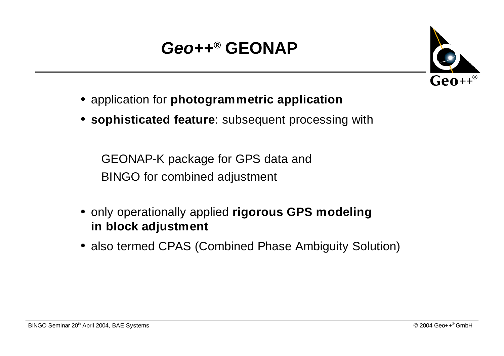# **Geo++® GEONAP**



- application for **photogrammetric application**
- **sophisticated feature**: subsequent processing with

GEONAP-K package for GPS data and BINGO for combined adjustment

- only operationally applied **rigorous GPS modeling in block adjustment**
- also termed CPAS (Combined Phase Ambiguity Solution)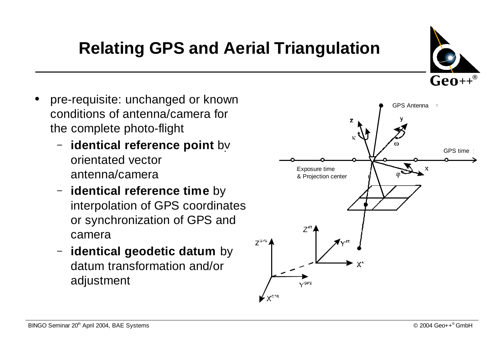# **Relating GPS and Aerial Triangulation**

- $\bullet$  pre-requisite: unchanged or known conditions of antenna/camera for the complete photo-flight
	- **identical reference point** by orientated vector antenna/camera
	- **identical reference time** by interpolation of GPS coordinates or synchronization of GPS and camera
	- $\overline{\phantom{0}}$  **identical geodetic datum** by datum transformation and/or adjustment



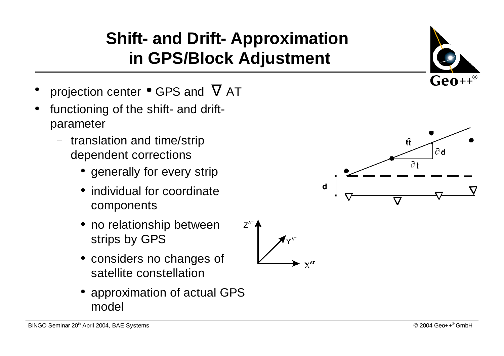### **Shift- and Drift- Approximation in GPS/Block Adjustment**

- $\bullet$ projection center  $\bullet$  GPS and  $\nabla$  AT
- $\bullet$  functioning of the shift- and driftparameter
	- $\overline{\phantom{a}}$  $\overline{\phantom{x}}$  translation and time/strip dependent corrections
		- $\bullet\,$  generally for every strip
		- individual for coordinate components
		- no relationship between strips by GPS
		- considers no changes of satellite constellation
		- 0 approximation of actual GPS model



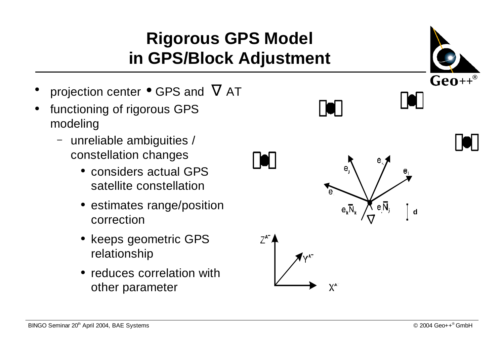### **Rigorous GPS Model in GPS/Block Adjustment**

- $\bullet$ projection center  $\bullet$  GPS and  $\nabla$  AT
- $\bullet$  functioning of rigorous GPS modeling
	- $\overline{\phantom{0}}$  unreliable ambiguities / constellation changes
		- considers actual GPS satellite constellation
		- $\bullet\,$  estimates range/position correction
		- $\bullet\,$  keeps geometric GPS relationship
		- reduces correlation with other parameter



**101** 

**O** 

 $X^{\mathsf{A}}$ 



**d**

 $\mathbf{e}_{1}$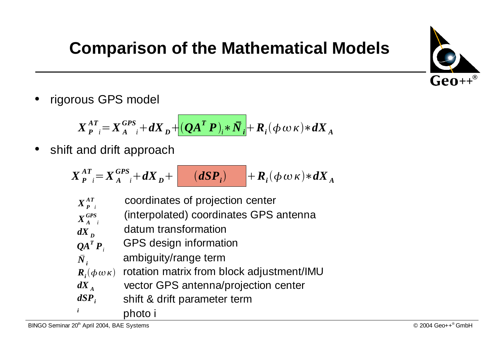

# **Comparison of the Mathematical Models**

 $\bullet$ rigorous GPS model

 $X_{P-i}^{AT} = X_{A-i}^{GPS} + dX_{D} + (QA^{T}P)_{i} * \bar{N}_{i} + R_{i}(\phi \,\omega \,\kappa) * dX_{A}$ 

 $\bullet$  $\bullet\;$  shift and drift approach

$$
X_{P}^{AT} = X_{A}^{GPS} + dX_{D} + \boxed{(dSP_{i})} + R_{i}(\phi \omega \kappa) * dX_{A}
$$

$$
X_{P}^{AT} \t\text{coordinates of projection center}
$$
\n
$$
X_{A}^{GPS} \t\text{(interpolated) coordinates GPS antenna}
$$

$$
d\vec{X}_p
$$
 datum transformation

$$
Q A^T P_i
$$
 GPS design information

$$
\bar{N}_i
$$
 *ambiguity/range term*

$$
\mathbf{R}_{i}(\phi\,\omega\,\kappa)
$$
 rotation matrix from block adjustment/IMU

$$
dX_A
$$
 vector GPS antenna/projection center

- shift & drift parameter term *dSPi*
	- photo i

*i*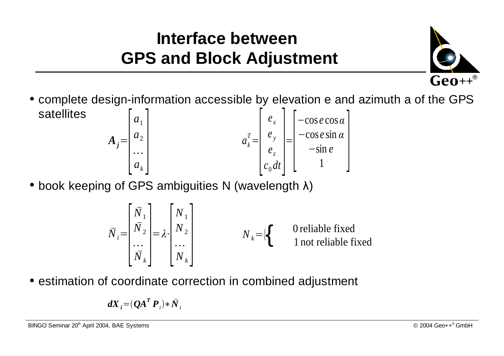### **Interface betweenGPS and Block Adjustment**



- $\bullet$  complete design-information accessible by elevation e and azimuth a of the GPS satellites  $a_{\scriptscriptstyle k}$ *T*  $A_j = \begin{bmatrix} a_1 \\ a_2 \\ \vdots \\ a_k \end{bmatrix}$   $A_i^T = \begin{bmatrix} e_x \\ e_y \\ e_z \\ e_z \\ c_0 dt \end{bmatrix} = \begin{bmatrix} -\cos e \cos \alpha \\ -\cos e \sin \alpha \\ -\sin e \\ 1 \end{bmatrix}$
- $\bullet$  book keeping of GPS ambiguities N (wavelength  $\lambda)$

$$
\bar{N}_i = \begin{bmatrix} \bar{N}_1 \\ \bar{N}_2 \\ \cdots \\ \bar{N}_k \end{bmatrix} = \lambda \cdot \begin{bmatrix} N_1 \\ N_2 \\ \cdots \\ N_k \end{bmatrix}
$$
  $N_k = \{\begin{cases} \text{O reliable fixed} \\ \text{1 not reliable fixed} \end{cases}$ 

 $\bullet$  estimation of coordinate correction in combined adjustment

$$
dX_i = (QA^T P_i) * \overline{N}_i
$$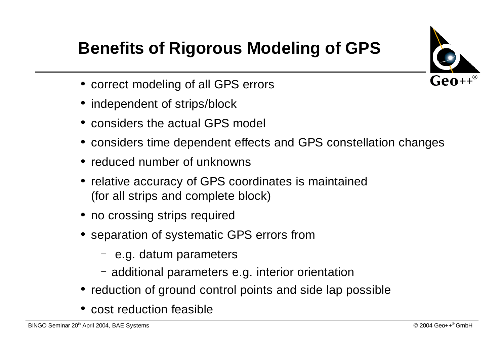

# **Benefits of Rigorous Modeling of GPS**

- correct modeling of all GPS errors
- independent of strips/block
- considers the actual GPS model
- considers time dependent effects and GPS constellation changes
- reduced number of unknowns
- $\bullet\,$  relative accuracy of GPS coordinates is maintained (for all strips and complete block)
- $\bullet\,$  no crossing strips required
- $\bullet\,$  separation of systematic GPS errors from
	- e.g. datum parameters
	- additional parameters e.g. interior orientation
- $\bullet\,$  reduction of ground control points and side lap possible
- cost reduction feasible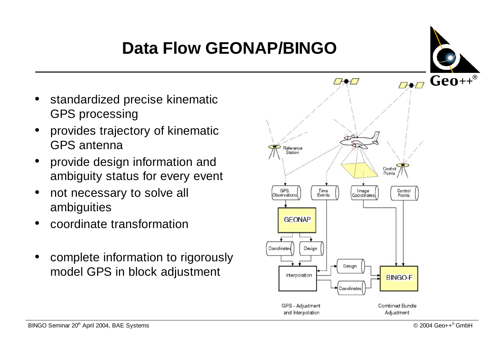# **Data Flow GEONAP/BINGO**



- $\bullet$  $\bullet\;$  standardized precise kinematic GPS processing
- $\bullet$  provides trajectory of kinematic GPS antenna
- 0 provide design information and ambiguity status for every event
- $\bullet$ • not necessary to solve all ambiguities
- 0 coordinate transformation
- $\bullet$  complete information to rigorously model GPS in block adjustment

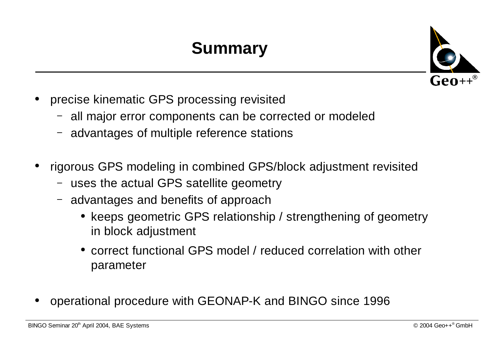# **Summary**



- $\bullet$  precise kinematic GPS processing revisited
	- all major error components can be corrected or modeled
	- advantages of multiple reference stations
- 0 rigorous GPS modeling in combined GPS/block adjustment revisited
	- uses the actual GPS satellite geometry
	- advantages and benefits of approach
		- $\bullet\,$  keeps geometric GPS relationship / strengthening of geometry in block adjustment
		- correct functional GPS model / reduced correlation with other parameter
- 0 operational procedure with GEONAP-K and BINGO since 1996